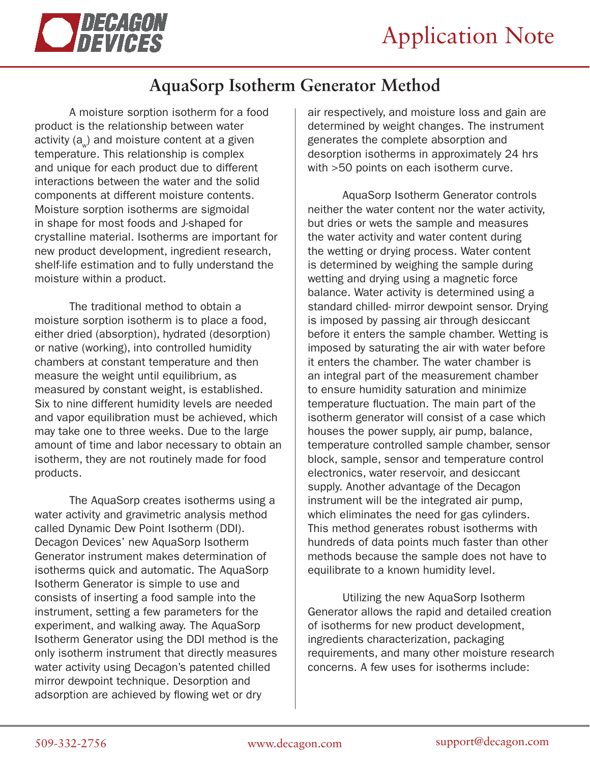

## **AquaSorp Isotherm Generator Method**

A moisture sorption isotherm for a food product is the relationship between water activity (a $_{\mathrm{w}}$ ) and moisture content at a given temperature. This relationship is complex and unique for each product due to different interactions between the water and the solid components at different moisture contents. Moisture sorption isotherms are sigmoidal in shape for most foods and J-shaped for crystalline material. Isotherms are important for new product development, ingredient research, shelf-life estimation and to fully understand the moisture within a product.

The traditional method to obtain a moisture sorption isotherm is to place a food, either dried (absorption), hydrated (desorption) or native (working), into controlled humidity chambers at constant temperature and then measure the weight until equilibrium, as measured by constant weight, is established. Six to nine different humidity levels are needed and vapor equilibration must be achieved, which may take one to three weeks. Due to the large amount of time and labor necessary to obtain an isotherm, they are not routinely made for food products.

The AquaSorp creates isotherms using a water activity and gravimetric analysis method called Dynamic Dew Point Isotherm (DDI). Decagon Devices' new AquaSorp Isotherm Generator instrument makes determination of isotherms quick and automatic. The AquaSorp Isotherm Generator is simple to use and consists of inserting a food sample into the instrument, setting a few parameters for the experiment, and walking away. The AquaSorp Isotherm Generator using the DDI method is the only isotherm instrument that directly measures water activity using Decagon's patented chilled mirror dewpoint technique. Desorption and adsorption are achieved by flowing wet or dry

air respectively, and moisture loss and gain are determined by weight changes. The instrument generates the complete absorption and desorption isotherms in approximately 24 hrs with >50 points on each isotherm curve.

AquaSorp Isotherm Generator controls neither the water content nor the water activity, but dries or wets the sample and measures the water activity and water content during the wetting or drying process. Water content is determined by weighing the sample during wetting and drying using a magnetic force balance. Water activity is determined using a standard chilled- mirror dewpoint sensor. Drying is imposed by passing air through desiccant before it enters the sample chamber. Wetting is imposed by saturating the air with water before it enters the chamber. The water chamber is an integral part of the measurement chamber to ensure humidity saturation and minimize temperature fluctuation. The main part of the isotherm generator will consist of a case which houses the power supply, air pump, balance, temperature controlled sample chamber, sensor block, sample, sensor and temperature control electronics, water reservoir, and desiccant supply. Another advantage of the Decagon instrument will be the integrated air pump, which eliminates the need for gas cylinders. This method generates robust isotherms with hundreds of data points much faster than other methods because the sample does not have to equilibrate to a known humidity level.

Utilizing the new AquaSorp Isotherm Generator allows the rapid and detailed creation of isotherms for new product development, ingredients characterization, packaging requirements, and many other moisture research concerns. A few uses for isotherms include: